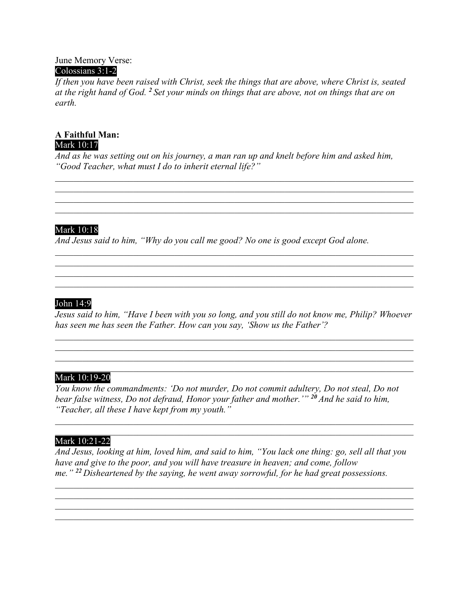#### June Memory Verse: Colossians 3:1-2

*If then you have been raised with Christ, seek the things that are above, where Christ is, seated at the right hand of God. <sup>2</sup> Set your minds on things that are above, not on things that are on earth.*

### **A Faithful Man:** Mark 10:17

*And as he was setting out on his journey, a man ran up and knelt before him and asked him, "Good Teacher, what must I do to inherit eternal life?"*

\_\_\_\_\_\_\_\_\_\_\_\_\_\_\_\_\_\_\_\_\_\_\_\_\_\_\_\_\_\_\_\_\_\_\_\_\_\_\_\_\_\_\_\_\_\_\_\_\_\_\_\_\_\_\_\_\_\_\_\_\_\_\_\_\_\_\_\_\_\_\_\_\_\_\_\_\_\_

\_\_\_\_\_\_\_\_\_\_\_\_\_\_\_\_\_\_\_\_\_\_\_\_\_\_\_\_\_\_\_\_\_\_\_\_\_\_\_\_\_\_\_\_\_\_\_\_\_\_\_\_\_\_\_\_\_\_\_\_\_\_\_\_\_\_\_\_\_\_\_\_\_\_\_\_\_\_

\_\_\_\_\_\_\_\_\_\_\_\_\_\_\_\_\_\_\_\_\_\_\_\_\_\_\_\_\_\_\_\_\_\_\_\_\_\_\_\_\_\_\_\_\_\_\_\_\_\_\_\_\_\_\_\_\_\_\_\_\_\_\_\_\_\_\_\_\_\_\_\_\_\_\_\_\_\_

\_\_\_\_\_\_\_\_\_\_\_\_\_\_\_\_\_\_\_\_\_\_\_\_\_\_\_\_\_\_\_\_\_\_\_\_\_\_\_\_\_\_\_\_\_\_\_\_\_\_\_\_\_\_\_\_\_\_\_\_\_\_\_\_\_\_\_\_\_\_\_\_\_\_\_\_\_\_

# Mark 10:18

*And Jesus said to him, "Why do you call me good? No one is good except God alone.*

# John 14:9

*Jesus said to him, "Have I been with you so long, and you still do not know me, Philip? Whoever has seen me has seen the Father. How can you say, 'Show us the Father'?*

\_\_\_\_\_\_\_\_\_\_\_\_\_\_\_\_\_\_\_\_\_\_\_\_\_\_\_\_\_\_\_\_\_\_\_\_\_\_\_\_\_\_\_\_\_\_\_\_\_\_\_\_\_\_\_\_\_\_\_\_\_\_\_\_\_\_\_\_\_\_\_\_\_\_\_\_\_\_

#### \_\_\_\_\_\_\_\_\_\_\_\_\_\_\_\_\_\_\_\_\_\_\_\_\_\_\_\_\_\_\_\_\_\_\_\_\_\_\_\_\_\_\_\_\_\_\_\_\_\_\_\_\_\_\_\_\_\_\_\_\_\_\_\_\_\_\_\_\_\_\_\_\_\_\_\_\_\_ Mark 10:19-20

*You know the commandments: 'Do not murder, Do not commit adultery, Do not steal, Do not bear false witness, Do not defraud, Honor your father and mother.'" <sup>20</sup> And he said to him, "Teacher, all these I have kept from my youth."*

#### \_\_\_\_\_\_\_\_\_\_\_\_\_\_\_\_\_\_\_\_\_\_\_\_\_\_\_\_\_\_\_\_\_\_\_\_\_\_\_\_\_\_\_\_\_\_\_\_\_\_\_\_\_\_\_\_\_\_\_\_\_\_\_\_\_\_\_\_\_\_\_\_\_\_\_\_\_\_ Mark 10:21-22

*And Jesus, looking at him, loved him, and said to him, "You lack one thing: go, sell all that you have and give to the poor, and you will have treasure in heaven; and come, follow me." <sup>22</sup> Disheartened by the saying, he went away sorrowful, for he had great possessions.*

\_\_\_\_\_\_\_\_\_\_\_\_\_\_\_\_\_\_\_\_\_\_\_\_\_\_\_\_\_\_\_\_\_\_\_\_\_\_\_\_\_\_\_\_\_\_\_\_\_\_\_\_\_\_\_\_\_\_\_\_\_\_\_\_\_\_\_\_\_\_\_\_\_\_\_\_\_\_

\_\_\_\_\_\_\_\_\_\_\_\_\_\_\_\_\_\_\_\_\_\_\_\_\_\_\_\_\_\_\_\_\_\_\_\_\_\_\_\_\_\_\_\_\_\_\_\_\_\_\_\_\_\_\_\_\_\_\_\_\_\_\_\_\_\_\_\_\_\_\_\_\_\_\_\_\_\_

\_\_\_\_\_\_\_\_\_\_\_\_\_\_\_\_\_\_\_\_\_\_\_\_\_\_\_\_\_\_\_\_\_\_\_\_\_\_\_\_\_\_\_\_\_\_\_\_\_\_\_\_\_\_\_\_\_\_\_\_\_\_\_\_\_\_\_\_\_\_\_\_\_\_\_\_\_\_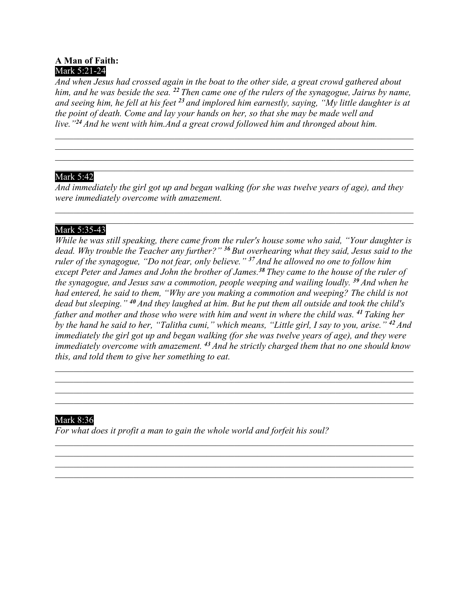# **A Man of Faith:** Mark 5:21-24

*And when Jesus had crossed again in the boat to the other side, a great crowd gathered about him, and he was beside the sea. <sup>22</sup> Then came one of the rulers of the synagogue, Jairus by name, and seeing him, he fell at his feet <sup>23</sup> and implored him earnestly, saying, "My little daughter is at the point of death. Come and lay your hands on her, so that she may be made well and live."<sup>24</sup> And he went with him.And a great crowd followed him and thronged about him.*

\_\_\_\_\_\_\_\_\_\_\_\_\_\_\_\_\_\_\_\_\_\_\_\_\_\_\_\_\_\_\_\_\_\_\_\_\_\_\_\_\_\_\_\_\_\_\_\_\_\_\_\_\_\_\_\_\_\_\_\_\_\_\_\_\_\_\_\_\_\_\_\_\_\_\_\_\_\_

\_\_\_\_\_\_\_\_\_\_\_\_\_\_\_\_\_\_\_\_\_\_\_\_\_\_\_\_\_\_\_\_\_\_\_\_\_\_\_\_\_\_\_\_\_\_\_\_\_\_\_\_\_\_\_\_\_\_\_\_\_\_\_\_\_\_\_\_\_\_\_\_\_\_\_\_\_\_

#### \_\_\_\_\_\_\_\_\_\_\_\_\_\_\_\_\_\_\_\_\_\_\_\_\_\_\_\_\_\_\_\_\_\_\_\_\_\_\_\_\_\_\_\_\_\_\_\_\_\_\_\_\_\_\_\_\_\_\_\_\_\_\_\_\_\_\_\_\_\_\_\_\_\_\_\_\_\_ Mark 5:42

*And immediately the girl got up and began walking (for she was twelve years of age), and they were immediately overcome with amazement.*

\_\_\_\_\_\_\_\_\_\_\_\_\_\_\_\_\_\_\_\_\_\_\_\_\_\_\_\_\_\_\_\_\_\_\_\_\_\_\_\_\_\_\_\_\_\_\_\_\_\_\_\_\_\_\_\_\_\_\_\_\_\_\_\_\_\_\_\_\_\_\_\_\_\_\_\_\_\_

#### \_\_\_\_\_\_\_\_\_\_\_\_\_\_\_\_\_\_\_\_\_\_\_\_\_\_\_\_\_\_\_\_\_\_\_\_\_\_\_\_\_\_\_\_\_\_\_\_\_\_\_\_\_\_\_\_\_\_\_\_\_\_\_\_\_\_\_\_\_\_\_\_\_\_\_\_\_\_ Mark 5:35-43

*While he was still speaking, there came from the ruler's house some who said, "Your daughter is dead. Why trouble the Teacher any further?" <sup>36</sup> But overhearing what they said, Jesus said to the ruler of the synagogue, "Do not fear, only believe." <sup>37</sup> And he allowed no one to follow him except Peter and James and John the brother of James.<sup>38</sup> They came to the house of the ruler of the synagogue, and Jesus saw a commotion, people weeping and wailing loudly. <sup>39</sup> And when he had entered, he said to them, "Why are you making a commotion and weeping? The child is not dead but sleeping." <sup>40</sup> And they laughed at him. But he put them all outside and took the child's father and mother and those who were with him and went in where the child was. <sup>41</sup> Taking her by the hand he said to her, "Talitha cumi," which means, "Little girl, I say to you, arise." <sup>42</sup> And immediately the girl got up and began walking (for she was twelve years of age), and they were immediately overcome with amazement. <sup>43</sup> And he strictly charged them that no one should know this, and told them to give her something to eat.*

\_\_\_\_\_\_\_\_\_\_\_\_\_\_\_\_\_\_\_\_\_\_\_\_\_\_\_\_\_\_\_\_\_\_\_\_\_\_\_\_\_\_\_\_\_\_\_\_\_\_\_\_\_\_\_\_\_\_\_\_\_\_\_\_\_\_\_\_\_\_\_\_\_\_\_\_\_\_ \_\_\_\_\_\_\_\_\_\_\_\_\_\_\_\_\_\_\_\_\_\_\_\_\_\_\_\_\_\_\_\_\_\_\_\_\_\_\_\_\_\_\_\_\_\_\_\_\_\_\_\_\_\_\_\_\_\_\_\_\_\_\_\_\_\_\_\_\_\_\_\_\_\_\_\_\_\_

\_\_\_\_\_\_\_\_\_\_\_\_\_\_\_\_\_\_\_\_\_\_\_\_\_\_\_\_\_\_\_\_\_\_\_\_\_\_\_\_\_\_\_\_\_\_\_\_\_\_\_\_\_\_\_\_\_\_\_\_\_\_\_\_\_\_\_\_\_\_\_\_\_\_\_\_\_\_

\_\_\_\_\_\_\_\_\_\_\_\_\_\_\_\_\_\_\_\_\_\_\_\_\_\_\_\_\_\_\_\_\_\_\_\_\_\_\_\_\_\_\_\_\_\_\_\_\_\_\_\_\_\_\_\_\_\_\_\_\_\_\_\_\_\_\_\_\_\_\_\_\_\_\_\_\_\_

\_\_\_\_\_\_\_\_\_\_\_\_\_\_\_\_\_\_\_\_\_\_\_\_\_\_\_\_\_\_\_\_\_\_\_\_\_\_\_\_\_\_\_\_\_\_\_\_\_\_\_\_\_\_\_\_\_\_\_\_\_\_\_\_\_\_\_\_\_\_\_\_\_\_\_\_\_\_

## Mark 8:36

*For what does it profit a man to gain the whole world and forfeit his soul?*